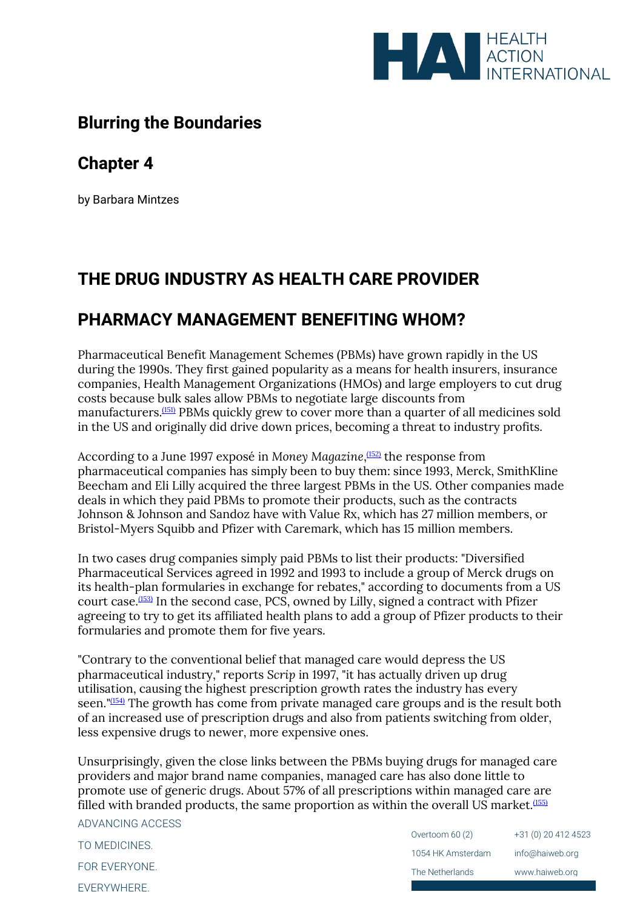

## **Blurring the Boundaries**

### **Chapter 4**

by Barbara Mintzes

# **THE DRUG INDUSTRY AS HEALTH CARE PROVIDER**

## **PHARMACY MANAGEMENT BENEFITING WHOM?**

Pharmaceutical Benefit Management Schemes (PBMs) have grown rapidly in the US during the 1990s. They first gained popularity as a means for health insurers, insurance companies, Health Management Organizations (HMOs) and large employers to cut drug costs because bulk sales allow PBMs to negotiate large discounts from manufacturers.<sup>[\(151\)](file:///C:/Users/Dimity/HAI/HAI%20-%20Documenten/Website/HAI/www/old_www/old/pubs/blurring/blurring.ch4.html%23(151))</sup> PBMs quickly grew to cover more than a quarter of all medicines sold in the US and originally did drive down prices, becoming a threat to industry profits.

According to a June 1997 exposé in *Money Magazine*, [\(152\)](file:///C:/Users/Dimity/HAI/HAI%20-%20Documenten/Website/HAI/www/old_www/old/pubs/blurring/blurring.ch4.html%23N_152_) the response from pharmaceutical companies has simply been to buy them: since 1993, Merck, SmithKline Beecham and Eli Lilly acquired the three largest PBMs in the US. Other companies made deals in which they paid PBMs to promote their products, such as the contracts Johnson & Johnson and Sandoz have with Value Rx, which has 27 million members, or Bristol-Myers Squibb and Pfizer with Caremark, which has 15 million members.

In two cases drug companies simply paid PBMs to list their products: "Diversified Pharmaceutical Services agreed in 1992 and 1993 to include a group of Merck drugs on its health-plan formularies in exchange for rebates," according to documents from a US court case.[\(153\)](file:///C:/Users/Dimity/HAI/HAI%20-%20Documenten/Website/HAI/www/old_www/old/pubs/blurring/blurring.ch4.html%23N_153_) In the second case, PCS, owned by Lilly, signed a contract with Pfizer agreeing to try to get its affiliated health plans to add a group of Pfizer products to their formularies and promote them for five years.

"Contrary to the conventional belief that managed care would depress the US pharmaceutical industry," reports *Scrip* in 1997, "it has actually driven up drug utilisation, causing the highest prescription growth rates the industry has every seen."[\(154\)](file:///C:/Users/Dimity/HAI/HAI%20-%20Documenten/Website/HAI/www/old_www/old/pubs/blurring/blurring.ch4.html%23N_154_) The growth has come from private managed care groups and is the result both of an increased use of prescription drugs and also from patients switching from older, less expensive drugs to newer, more expensive ones.

Unsurprisingly, given the close links between the PBMs buying drugs for managed care providers and major brand name companies, managed care has also done little to promote use of generic drugs. About 57% of all prescriptions within managed care are filled with branded products, the same proportion as within the overall US market.<sup>[\(155\)](file:///C:/Users/Dimity/HAI/HAI%20-%20Documenten/Website/HAI/www/old_www/old/pubs/blurring/blurring.ch4.html%23N_155_)</sup>

ADVANCING ACCESS TO MEDICINES. FOR EVERYONE. EVERYWHERE.

| Overtoom 60 (2)   | +31 (0) 20 412 4523 |
|-------------------|---------------------|
| 1054 HK Amsterdam | info@haiweb.org     |
| The Netherlands   | www.haiweb.org      |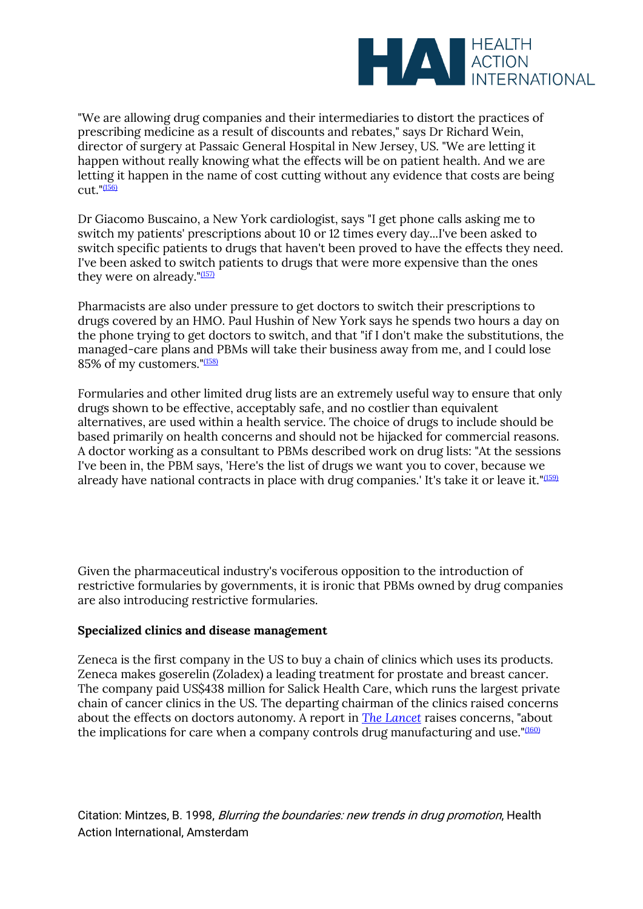

"We are allowing drug companies and their intermediaries to distort the practices of prescribing medicine as a result of discounts and rebates," says Dr Richard Wein, director of surgery at Passaic General Hospital in New Jersey, US. "We are letting it happen without really knowing what the effects will be on patient health. And we are letting it happen in the name of cost cutting without any evidence that costs are being  $cut$ .  $(156)$ 

Dr Giacomo Buscaino, a New York cardiologist, says "I get phone calls asking me to switch my patients' prescriptions about 10 or 12 times every day...I've been asked to switch specific patients to drugs that haven't been proved to have the effects they need. I've been asked to switch patients to drugs that were more expensive than the ones they were on already." $(157)$ 

Pharmacists are also under pressure to get doctors to switch their prescriptions to drugs covered by an HMO. Paul Hushin of New York says he spends two hours a day on the phone trying to get doctors to switch, and that "if I don't make the substitutions, the managed-care plans and PBMs will take their business away from me, and I could lose 85% of my customers."[\(158\)](file:///C:/Users/Dimity/HAI/HAI%20-%20Documenten/Website/HAI/www/old_www/old/pubs/blurring/blurring.ch4.html%23N_158_)

Formularies and other limited drug lists are an extremely useful way to ensure that only drugs shown to be effective, acceptably safe, and no costlier than equivalent alternatives, are used within a health service. The choice of drugs to include should be based primarily on health concerns and should not be hijacked for commercial reasons. A doctor working as a consultant to PBMs described work on drug lists: "At the sessions I've been in, the PBM says, 'Here's the list of drugs we want you to cover, because we already have national contracts in place with drug companies. It's take it or leave it."<sup>[\(159\)](file:///C:/Users/Dimity/HAI/HAI%20-%20Documenten/Website/HAI/www/old_www/old/pubs/blurring/blurring.ch4.html%23N_159_)</sup>

Given the pharmaceutical industry's vociferous opposition to the introduction of restrictive formularies by governments, it is ironic that PBMs owned by drug companies are also introducing restrictive formularies.

#### **Specialized clinics and disease management**

Zeneca is the first company in the US to buy a chain of clinics which uses its products. Zeneca makes goserelin (Zoladex) a leading treatment for prostate and breast cancer. The company paid US\$438 million for Salick Health Care, which runs the largest private chain of cancer clinics in the US. The departing chairman of the clinics raised concerns about the effects on doctors autonomy. A report in *The [Lancet](http://www.thelancet.com/)* raises concerns, "about the implications for care when a company controls drug manufacturing and use." $(160)$ 

Citation: Mintzes, B. 1998, Blurring the boundaries: new trends in drug promotion, Health Action International, Amsterdam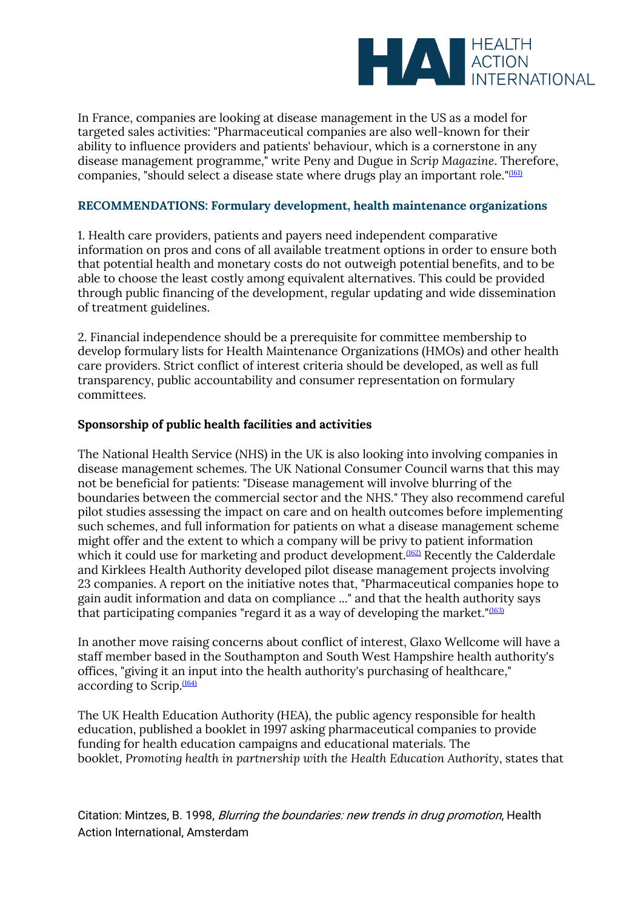

In France, companies are looking at disease management in the US as a model for targeted sales activities: "Pharmaceutical companies are also well-known for their ability to influence providers and patients' behaviour, which is a cornerstone in any disease management programme," write Peny and Dugue in *Scrip Magazine*. Therefore, companies, "should select a disease state where drugs play an important role."[\(161\)](file:///C:/Users/Dimity/HAI/HAI%20-%20Documenten/Website/HAI/www/old_www/old/pubs/blurring/blurring.ch4.html%23N_161_)

#### **RECOMMENDATIONS: Formulary development, health maintenance organizations**

1. Health care providers, patients and payers need independent comparative information on pros and cons of all available treatment options in order to ensure both that potential health and monetary costs do not outweigh potential benefits, and to be able to choose the least costly among equivalent alternatives. This could be provided through public financing of the development, regular updating and wide dissemination of treatment guidelines.

2. Financial independence should be a prerequisite for committee membership to develop formulary lists for Health Maintenance Organizations (HMOs) and other health care providers. Strict conflict of interest criteria should be developed, as well as full transparency, public accountability and consumer representation on formulary committees.

#### **Sponsorship of public health facilities and activities**

The National Health Service (NHS) in the UK is also looking into involving companies in disease management schemes. The UK National Consumer Council warns that this may not be beneficial for patients: "Disease management will involve blurring of the boundaries between the commercial sector and the NHS." They also recommend careful pilot studies assessing the impact on care and on health outcomes before implementing such schemes, and full information for patients on what a disease management scheme might offer and the extent to which a company will be privy to patient information which it could use for marketing and product development.<sup>[\(162\)](file:///C:/Users/Dimity/HAI/HAI%20-%20Documenten/Website/HAI/www/old_www/old/pubs/blurring/blurring.ch4.html%23N_162_)</sup> Recently the Calderdale and Kirklees Health Authority developed pilot disease management projects involving 23 companies. A report on the initiative notes that, "Pharmaceutical companies hope to gain audit information and data on compliance ..." and that the health authority says that participating companies "regard it as a way of developing the market." $(163)$ 

In another move raising concerns about conflict of interest, Glaxo Wellcome will have a staff member based in the Southampton and South West Hampshire health authority's offices, "giving it an input into the health authority's purchasing of healthcare," according to Scrip.<sup>[\(164\)](file:///C:/Users/Dimity/HAI/HAI%20-%20Documenten/Website/HAI/www/old_www/old/pubs/blurring/blurring.ch4.html%23N_164_)</sup>

The UK Health Education Authority (HEA), the public agency responsible for health education, published a booklet in 1997 asking pharmaceutical companies to provide funding for health education campaigns and educational materials. The booklet, *Promoting health in partnership with the Health Education Authority*, states that

Citation: Mintzes, B. 1998, Blurring the boundaries: new trends in drug promotion, Health Action International, Amsterdam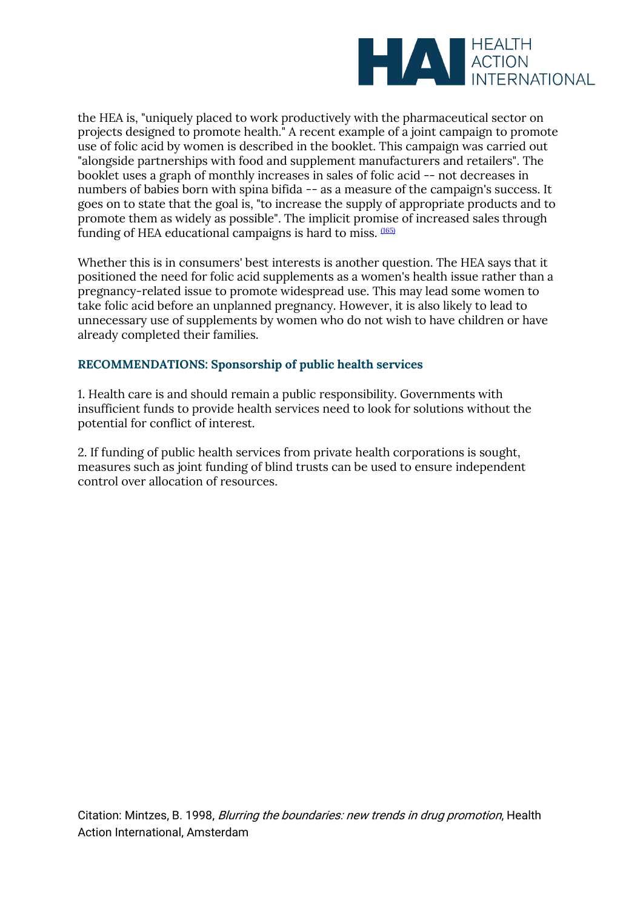

the HEA is, "uniquely placed to work productively with the pharmaceutical sector on projects designed to promote health." A recent example of a joint campaign to promote use of folic acid by women is described in the booklet. This campaign was carried out "alongside partnerships with food and supplement manufacturers and retailers". The booklet uses a graph of monthly increases in sales of folic acid -- not decreases in numbers of babies born with spina bifida -- as a measure of the campaign's success. It goes on to state that the goal is, "to increase the supply of appropriate products and to promote them as widely as possible". The implicit promise of increased sales through funding of HEA educational campaigns is hard to miss. [\(165\)](file:///C:/Users/Dimity/HAI/HAI%20-%20Documenten/Website/HAI/www/old_www/old/pubs/blurring/blurring.ch4.html%23N_165_)

Whether this is in consumers' best interests is another question. The HEA says that it positioned the need for folic acid supplements as a women's health issue rather than a pregnancy-related issue to promote widespread use. This may lead some women to take folic acid before an unplanned pregnancy. However, it is also likely to lead to unnecessary use of supplements by women who do not wish to have children or have already completed their families.

#### **RECOMMENDATIONS: Sponsorship of public health services**

1. Health care is and should remain a public responsibility. Governments with insufficient funds to provide health services need to look for solutions without the potential for conflict of interest.

2. If funding of public health services from private health corporations is sought, measures such as joint funding of blind trusts can be used to ensure independent control over allocation of resources.